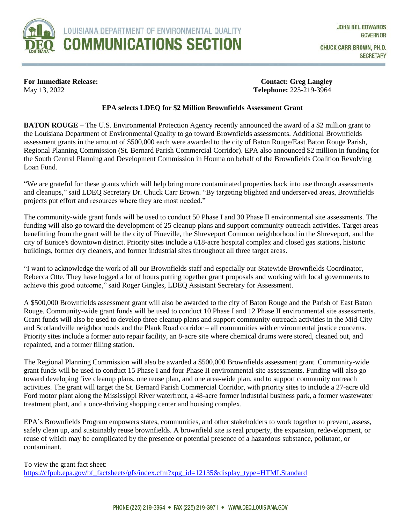

**For Immediate Release:** Contact: Greg Langley May 13, 2022 **Telephone:** 225-219-3964

## **EPA selects LDEQ for \$2 Million Brownfields Assessment Grant**

**BATON ROUGE** – The U.S. Environmental Protection Agency recently announced the award of a \$2 million grant to the Louisiana Department of Environmental Quality to go toward Brownfields assessments. Additional Brownfields assessment grants in the amount of \$500,000 each were awarded to the city of Baton Rouge/East Baton Rouge Parish, Regional Planning Commission (St. Bernard Parish Commercial Corridor). EPA also announced \$2 million in funding for the South Central Planning and Development Commission in Houma on behalf of the Brownfields Coalition Revolving Loan Fund.

"We are grateful for these grants which will help bring more contaminated properties back into use through assessments and cleanups," said LDEQ Secretary Dr. Chuck Carr Brown. "By targeting blighted and underserved areas, Brownfields projects put effort and resources where they are most needed."

The community-wide grant funds will be used to conduct 50 Phase I and 30 Phase II environmental site assessments. The funding will also go toward the development of 25 cleanup plans and support community outreach activities. Target areas benefitting from the grant will be the city of Pineville, the Shreveport Common neighborhood in the Shreveport, and the city of Eunice's downtown district. Priority sites include a 618-acre hospital complex and closed gas stations, historic buildings, former dry cleaners, and former industrial sites throughout all three target areas.

"I want to acknowledge the work of all our Brownfields staff and especially our Statewide Brownfields Coordinator, Rebecca Otte. They have logged a lot of hours putting together grant proposals and working with local governments to achieve this good outcome," said Roger Gingles, LDEQ Assistant Secretary for Assessment.

A \$500,000 Brownfields assessment grant will also be awarded to the city of Baton Rouge and the Parish of East Baton Rouge. Community-wide grant funds will be used to conduct 10 Phase I and 12 Phase II environmental site assessments. Grant funds will also be used to develop three cleanup plans and support community outreach activities in the Mid-City and Scotlandville neighborhoods and the Plank Road corridor – all communities with environmental justice concerns. Priority sites include a former auto repair facility, an 8-acre site where chemical drums were stored, cleaned out, and repainted, and a former filling station.

The Regional Planning Commission will also be awarded a \$500,000 Brownfields assessment grant. Community-wide grant funds will be used to conduct 15 Phase I and four Phase II environmental site assessments. Funding will also go toward developing five cleanup plans, one reuse plan, and one area-wide plan, and to support community outreach activities. The grant will target the St. Bernard Parish Commercial Corridor, with priority sites to include a 27-acre old Ford motor plant along the Mississippi River waterfront, a 48-acre former industrial business park, a former wastewater treatment plant, and a once-thriving shopping center and housing complex.

EPA's Brownfields Program empowers states, communities, and other stakeholders to work together to prevent, assess, safely clean up, and sustainably reuse brownfields. A brownfield site is real property, the expansion, redevelopment, or reuse of which may be complicated by the presence or potential presence of a hazardous substance, pollutant, or contaminant.

To view the grant fact sheet: [https://cfpub.epa.gov/bf\\_factsheets/gfs/index.cfm?xpg\\_id=12135&display\\_type=HTMLStandard](https://cfpub.epa.gov/bf_factsheets/gfs/index.cfm?xpg_id=12135&display_type=HTMLStandard)